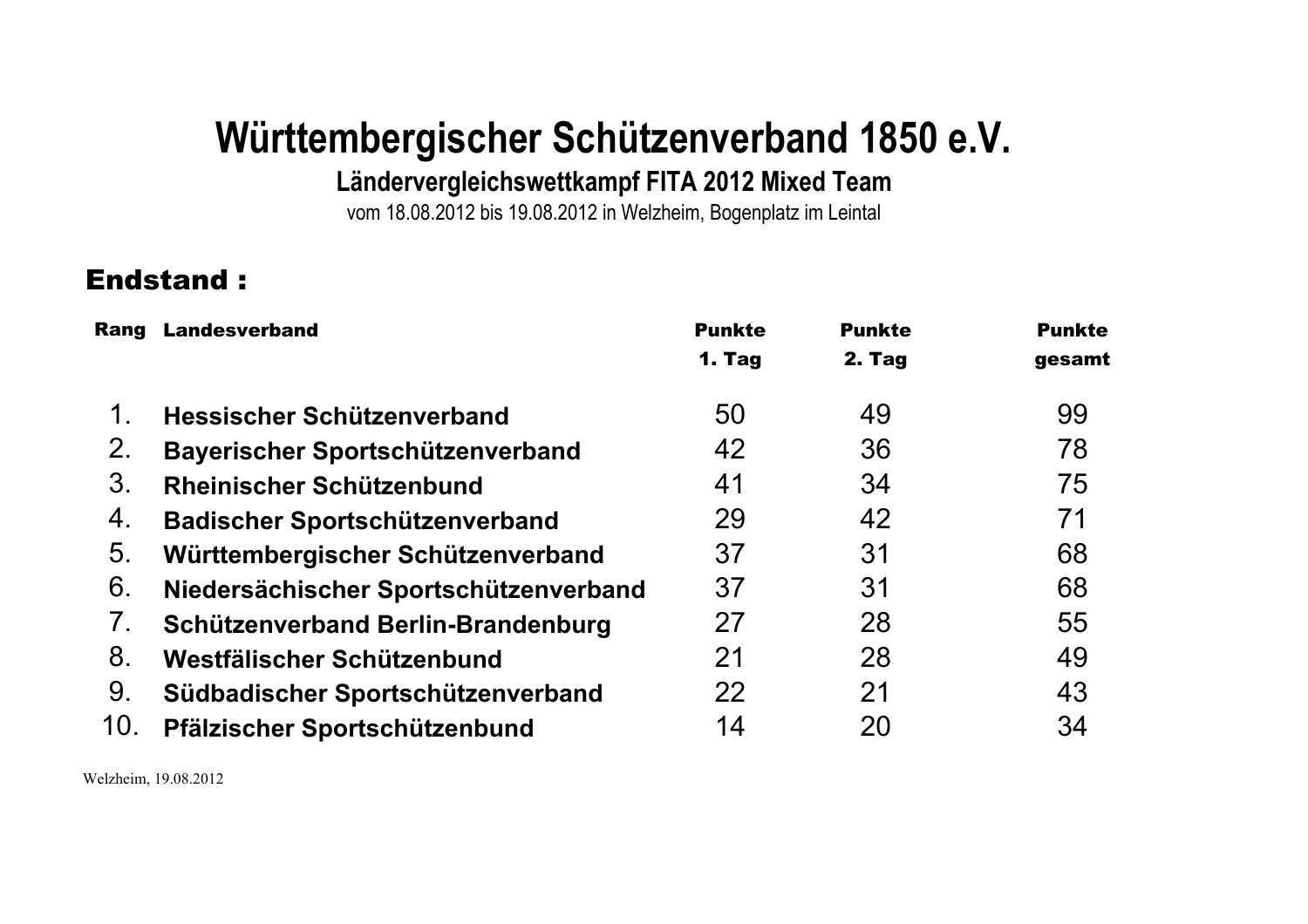Ländervergleichswettkampf FITA 2012 Mixed Team

vom 18.08.2012 bis 19.08.2012 in Welzheim, Bogenplatz im Leintal

## **Endstand:**

| Rang | <b>Landesverband</b>                      | <b>Punkte</b> | <b>Punkte</b> | <b>Punkte</b> |
|------|-------------------------------------------|---------------|---------------|---------------|
|      |                                           | 1. Tag        | 2. Tag        | gesamt        |
| 1.   | Hessischer Schützenverband                | 50            | 49            | 99            |
| 2.   | Bayerischer Sportschützenverband          | 42            | 36            | 78            |
| 3.   | Rheinischer Schützenbund                  | 41            | 34            | 75            |
| 4.   | Badischer Sportschützenverband            | 29            | 42            | 71            |
| 5.   | Württembergischer Schützenverband         | 37            | 31            | 68            |
| 6.   | Niedersächischer Sportschützenverband     | 37            | 31            | 68            |
| 7.   | <b>Schützenverband Berlin-Brandenburg</b> | 27            | 28            | 55            |
| 8.   | Westfälischer Schützenbund                | 21            | 28            | 49            |
| 9.   | Südbadischer Sportschützenverband         | 22            | 21            | 43            |
| 10.  | Pfälzischer Sportschützenbund             | 14            | 20            | 34            |

Welzheim, 19.08.2012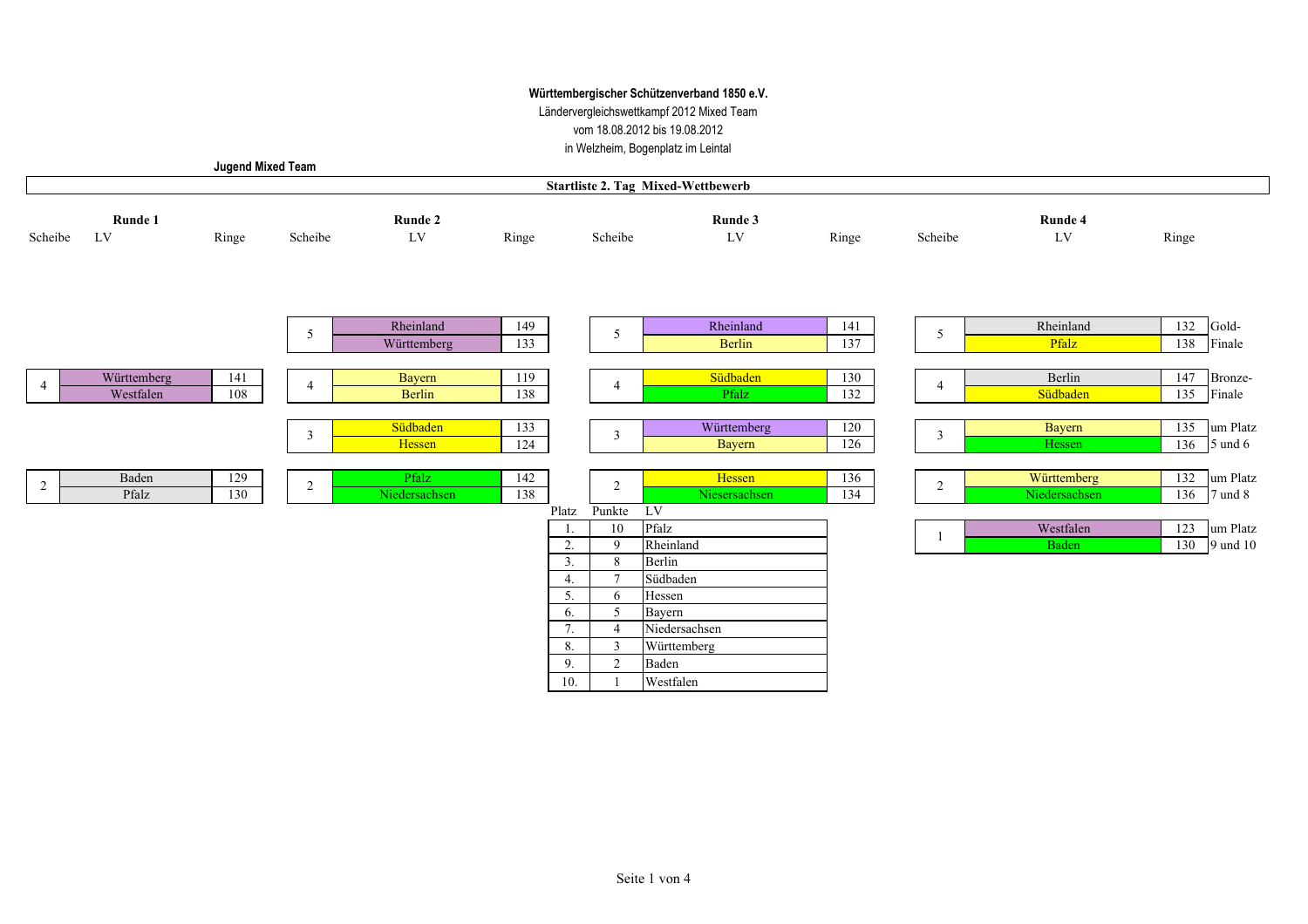Ländervergleichswettkampf 2012 Mixed Team vom 18.08.2012 bis 19.08.2012 tal

| in Welzheim, Bogenplatz im Leinta |  |  |  |
|-----------------------------------|--|--|--|
|-----------------------------------|--|--|--|

|                | <b>Jugend Mixed Team</b> |            |                |                          |            |                |                                       |                                           |            |                |                              |                               |                         |
|----------------|--------------------------|------------|----------------|--------------------------|------------|----------------|---------------------------------------|-------------------------------------------|------------|----------------|------------------------------|-------------------------------|-------------------------|
|                |                          |            |                |                          |            |                |                                       | <b>Startliste 2. Tag Mixed-Wettbewerb</b> |            |                |                              |                               |                         |
| Scheibe        | Runde 1<br>LV            | Ringe      | Scheibe        | Runde 2<br>${\rm LV}$    | Ringe      |                | Scheibe                               | Runde 3<br>LV                             | Ringe      | Scheibe        | Runde 4<br>${\rm LV}$        | Ringe                         |                         |
|                |                          |            |                |                          |            |                |                                       |                                           |            |                |                              |                               |                         |
|                |                          |            | 5              | Rheinland<br>Württemberg | 149<br>133 |                | 5                                     | Rheinland<br>Berlin                       | 141<br>137 | 5              | Rheinland<br>Pfalz           | $\overline{132}$ Gold-<br>138 | Finale                  |
| $\overline{4}$ | Württemberg<br>Westfalen | 141<br>108 | $\overline{4}$ | <b>Bayern</b><br>Berlin  | 119<br>138 |                | 4                                     | Südbaden<br>Pfalz                         | 130<br>132 | $\overline{4}$ | Berlin<br>Südbaden           | 135                           | 147 Bronze-<br>Finale   |
|                |                          |            | $\overline{3}$ | Südbaden<br>Hessen       | 133<br>124 |                | $\mathfrak{Z}$                        | Württemberg<br>Bayern                     | 120<br>126 | $\mathbf{3}$   | Bayern<br>Hessen             | 136                           | 135 um Platz<br>5 und 6 |
| $\overline{2}$ | Baden<br>Pfalz           | 129<br>130 | 2              | Pfalz<br>Niedersachsen   | 142<br>138 |                | 2                                     | Hessen<br>Niesersachsen                   | 136<br>134 | $\sqrt{2}$     | Württemberg<br>Niedersachsen | 132<br>136                    | um Platz<br>7 und 8     |
|                |                          |            |                |                          |            | Platz<br>2.    | Punkte LV<br>10<br>9                  | Pfalz<br>Rheinland                        |            |                | Westfalen<br><b>Baden</b>    | 123<br>130                    | um Platz<br>9 und 10    |
|                |                          |            |                |                          |            | 3.<br>4.<br>5. | 8<br>$\tau$<br>6                      | Berlin<br>Südbaden<br>Hessen              |            |                |                              |                               |                         |
|                |                          |            |                |                          |            | 6.<br>7.<br>8. | 5<br>$\overline{4}$<br>$\overline{3}$ | Bayern<br>Niedersachsen<br>Württemberg    |            |                |                              |                               |                         |
|                |                          |            |                |                          |            | 9.<br>10.      | 2                                     | Baden<br>Westfalen                        |            |                |                              |                               |                         |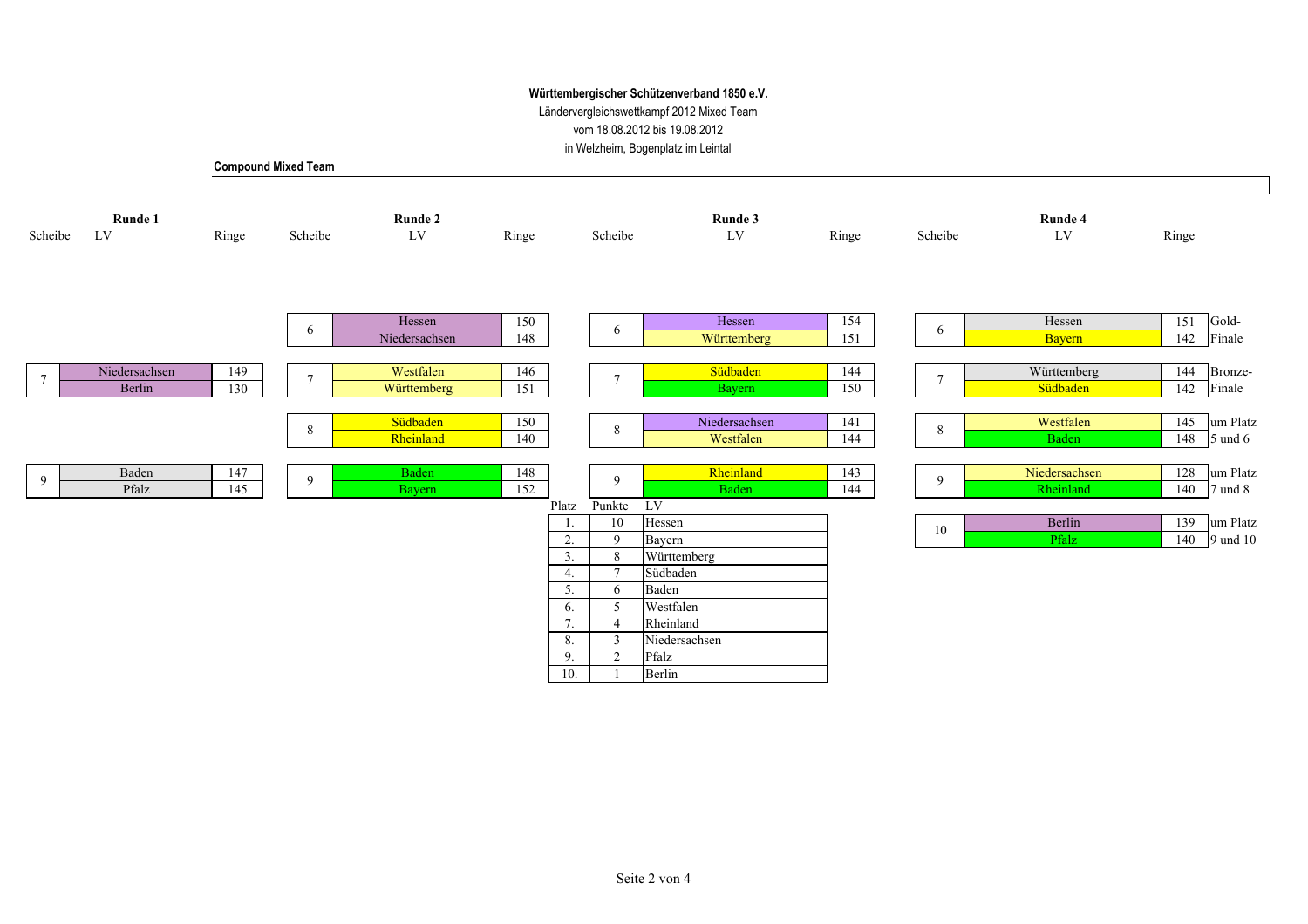Ländervergleichswettkampf 2012 Mixed Team vom 18.08.2012 bis 19.08.2012

in Welzheim, Bogenplatz im Leintal

┑

|  | <b>Compound Mixed Team</b> |
|--|----------------------------|
|--|----------------------------|

| Scheibe         | Runde 1<br>LV | Ringe | Scheibe | Runde 2<br>$\ensuremath{\text{LV}}$ | Ringe |          | Scheibe           | Runde 3<br>$\mathop{\rm LV}$ | Ringe | Scheibe         | Runde 4<br>${\rm LV}$ | Ringe |                      |
|-----------------|---------------|-------|---------|-------------------------------------|-------|----------|-------------------|------------------------------|-------|-----------------|-----------------------|-------|----------------------|
|                 |               |       |         |                                     |       |          |                   |                              |       |                 |                       |       |                      |
|                 |               |       | 6       | Hessen                              | 150   |          | 6                 | Hessen                       | 154   | 6               | Hessen                | 151   | Gold-                |
|                 |               |       |         | Niedersachsen                       | 148   |          |                   | Württemberg                  | 151   |                 | <b>Bayern</b>         |       | 142 Finale           |
|                 | Niedersachsen | 149   |         | Westfalen                           | 146   |          |                   | Südbaden                     | 144   |                 | Württemberg           | 144   | Bronze-              |
| $7\phantom{.0}$ | Berlin        | 130   | $\tau$  | Württemberg                         | 151   |          | $7\phantom{.0}$   | Bayern                       | 150   | $7\phantom{.0}$ | Südbaden              | 142   | Finale               |
|                 |               |       |         |                                     |       |          |                   |                              |       |                 |                       |       |                      |
|                 |               |       |         | Südbaden                            | 150   |          | 8                 | Niedersachsen                | 141   | $\,8\,$         | Westfalen             |       | 145 um Platz         |
|                 |               |       | 8       | Rheinland                           | 140   |          |                   | Westfalen                    | 144   |                 | <b>Baden</b>          |       | $148$ 5 und 6        |
|                 |               |       |         |                                     |       |          |                   |                              |       |                 |                       |       |                      |
| 9               | Baden         | 147   | 9       | Baden                               | 148   |          | 9                 | Rheinland                    | 143   | 9               | Niedersachsen         |       | 128 um Platz         |
|                 | Pfalz         | 145   |         | Bayern                              | 152   |          |                   | Baden                        | 144   |                 | Rheinland             |       | 140 $\sqrt{7}$ und 8 |
|                 |               |       |         |                                     |       | Platz    | Punkte            | $L$ V                        |       |                 |                       |       |                      |
|                 |               |       |         |                                     |       |          | 10                | Hessen                       |       | 10              | Berlin                |       | 139 um Platz         |
|                 |               |       |         |                                     |       | 2.<br>3. | $\mathbf{Q}$<br>8 | Bayern                       |       |                 | Pfalz                 |       | 140 9 und 10         |
|                 |               |       |         |                                     |       | 4.       | $\mathcal{I}$     | Württemberg<br>Südbaden      |       |                 |                       |       |                      |
|                 |               |       |         |                                     |       | 5.       | 6                 | Baden                        |       |                 |                       |       |                      |
|                 |               |       |         |                                     |       | 6.       | -5                | Westfalen                    |       |                 |                       |       |                      |
|                 |               |       |         |                                     |       | 7.       |                   | Rheinland                    |       |                 |                       |       |                      |
|                 |               |       |         |                                     |       | 8.       | 3                 | Niedersachsen                |       |                 |                       |       |                      |
|                 |               |       |         |                                     |       | 9.       | $\overline{2}$    | Pfalz                        |       |                 |                       |       |                      |
|                 |               |       |         |                                     |       | 10.      |                   | Berlin                       |       |                 |                       |       |                      |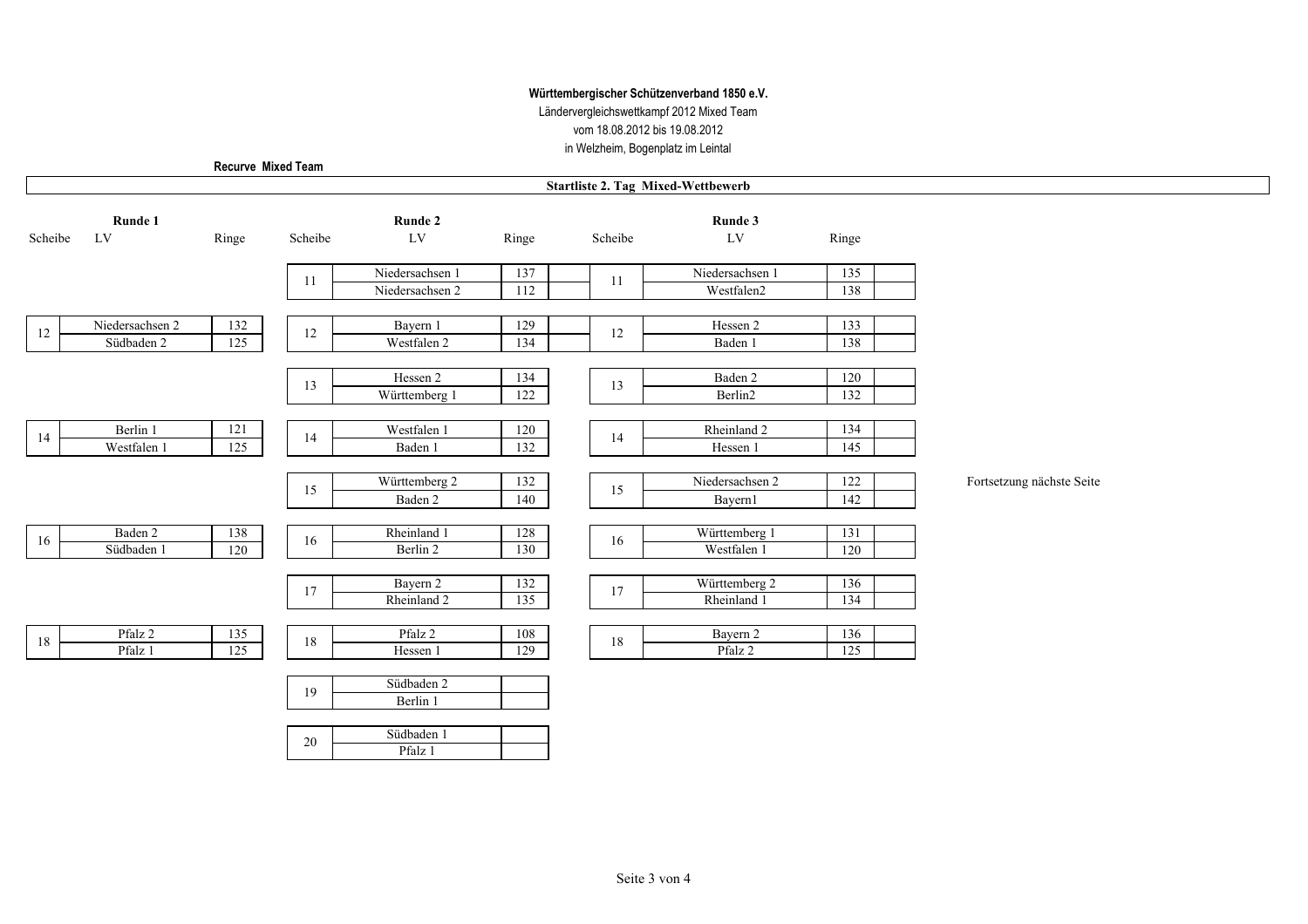Ländervergleichswettkampf 2012 Mixed Team vom 18.08.2012 bis 19.08.2012 in Welzheim, Bogenplatz im Leintal

Recurve Mixed Team

 $\Gamma$ 

|         | <b>Startliste 2. Tag Mixed-Wettbewerb</b> |         |         |                         |       |         |                 |            |                           |
|---------|-------------------------------------------|---------|---------|-------------------------|-------|---------|-----------------|------------|---------------------------|
|         | Runde 1                                   |         |         | Runde 2                 |       |         | Runde 3         |            |                           |
| Scheibe | ${\rm LV}$                                | Ringe   | Scheibe | LV                      | Ringe | Scheibe | ${\rm LV}$      | Ringe      |                           |
|         |                                           |         | 11      | Niedersachsen 1         | 137   | 11      | Niedersachsen 1 | 135        |                           |
|         |                                           |         |         | Niedersachsen 2         | 112   |         | Westfalen2      | 138        |                           |
| 12      | Niedersachsen 2                           | 132     | 12      | Bayern 1                | 129   | 12      | Hessen 2        | 133        |                           |
|         | Südbaden 2                                | 125     |         | Westfalen 2             | 134   |         | Baden 1         | 138        |                           |
|         |                                           |         |         | Hessen 2                | 134   |         | Baden 2         | 120        |                           |
|         |                                           |         | 13      | Württemberg 1           | 122   | 13      | Berlin2         | 132        |                           |
|         |                                           |         |         |                         |       |         |                 |            |                           |
| $14\,$  | Berlin 1                                  | $121\,$ | 14      | Westfalen 1             | 120   | 14      | Rheinland 2     | 134        |                           |
|         | Westfalen 1                               | 125     |         | Baden 1                 | 132   |         | Hessen 1        | 145        |                           |
|         |                                           |         |         | Württemberg 2           | 132   |         | Niedersachsen 2 | 122        | Fortsetzung nächste Seite |
|         |                                           |         | 15      | Baden 2                 | 140   | 15      | Bayern1         | 142        |                           |
|         |                                           |         |         |                         |       |         |                 |            |                           |
| 16      | Baden 2                                   | 138     | 16      | Rheinland 1             | 128   | 16      | Württemberg 1   | 131        |                           |
|         | Südbaden 1                                | 120     |         | Berlin 2                | 130   |         | Westfalen 1     | 120        |                           |
|         |                                           |         |         |                         |       |         |                 |            |                           |
|         |                                           |         | 17      | Bayern 2<br>Rheinland 2 | 132   | 17      | Württemberg 2   | 136<br>134 |                           |
|         |                                           |         |         |                         | 135   |         | Rheinland 1     |            |                           |
| 18      | Pfalz 2                                   | 135     | 18      | Pfalz 2                 | 108   | $18\,$  | Bayern 2        | 136        |                           |
|         | Pfalz 1                                   | 125     |         | Hessen 1                | 129   |         | Pfalz 2         | 125        |                           |
|         |                                           |         |         |                         |       |         |                 |            |                           |
|         |                                           |         | 19      | Südbaden 2              |       |         |                 |            |                           |
|         |                                           |         |         | Berlin 1                |       |         |                 |            |                           |
|         |                                           |         |         | Südbaden 1              |       |         |                 |            |                           |
|         |                                           |         | 20      | $D.C. 1 - 1$            |       |         |                 |            |                           |

Pfalz 1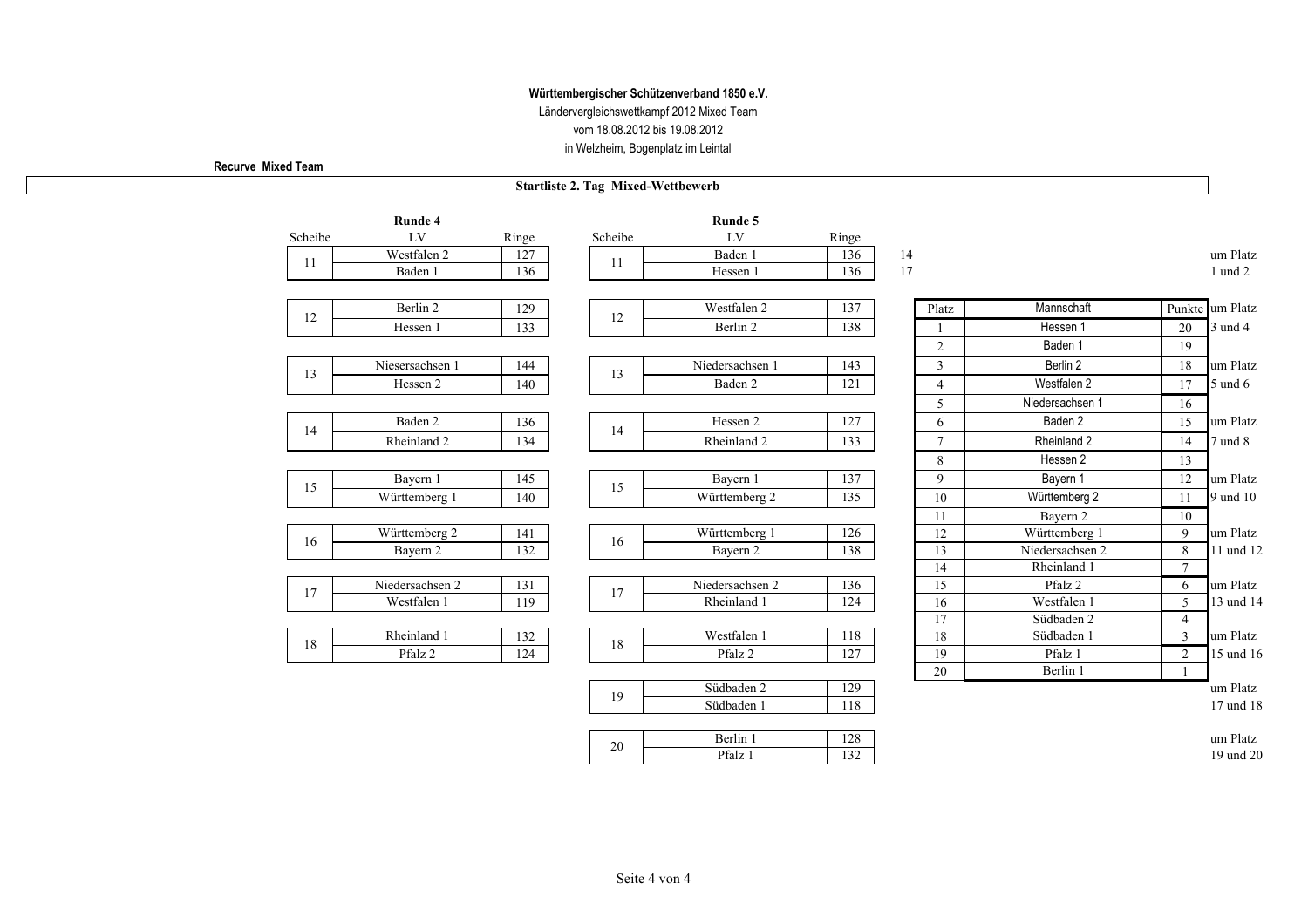Ländervergleichswettkampf 2012 Mixed Team vom 18.08.2012 bis 19.08.2012 in Welzheim, Bogenplatz im Leintal

Recurve Mixed Team

#### **Startliste 2. Tag Mixed-Wettbewerb**

|         | Runde 4         |       |         | Runde 5         |       |                 |                 |                 |                 |
|---------|-----------------|-------|---------|-----------------|-------|-----------------|-----------------|-----------------|-----------------|
| Scheibe | ${\rm LV}$      | Ringe | Scheibe | LV              | Ringe |                 |                 |                 |                 |
| 11      | Westfalen 2     | 127   | 11      | Baden 1         | 136   | 14              |                 |                 | um Platz        |
|         | Baden 1         | 136   |         | Hessen 1        | 136   | 17              |                 |                 | 1 und 2         |
|         |                 |       |         |                 |       |                 |                 |                 |                 |
| 12      | Berlin 2        | 129   | 12      | Westfalen 2     | 137   | Platz           | Mannschaft      |                 | Punkte um Platz |
|         | Hessen 1        | 133   |         | Berlin 2        | 138   |                 | Hessen 1        | 20              | 3 und 4         |
|         |                 |       |         |                 |       | $\overline{2}$  | Baden 1         | 19              |                 |
|         | Niesersachsen 1 | 144   |         | Niedersachsen 1 | 143   | 3               | Berlin 2        | 18              | um Platz        |
| 13      | Hessen 2        | 140   | 13      | Baden 2         | 121   | $\overline{4}$  | Westfalen 2     | 17              | $5$ und $6$     |
|         |                 |       |         |                 |       | 5               | Niedersachsen 1 | 16              |                 |
|         | Baden 2         | 136   |         | Hessen 2        | 127   | 6               | Baden 2         | 15              | um Platz        |
| 14      | Rheinland 2     | 134   | 14      | Rheinland 2     | 133   | $\overline{7}$  | Rheinland 2     | 14              | 7 und 8         |
|         |                 |       |         |                 |       | 8               | Hessen 2        | 13              |                 |
|         | Bayern 1        | 145   |         | Bayern 1        | 137   | 9               | Bayern 1        | 12              | um Platz        |
| 15      | Württemberg 1   | 140   | 15      | Württemberg 2   | 135   | 10              | Württemberg 2   | 11              | 9 und 10        |
|         |                 |       |         |                 |       | 11              | Bayern 2        | 10              |                 |
| 16      | Württemberg 2   | 141   | 16      | Württemberg 1   | 126   | 12              | Württemberg 1   | 9               | um Platz        |
|         | Bayern 2        | 132   |         | Bayern 2        | 138   | $\overline{13}$ | Niedersachsen 2 | 8               | 11 und 12       |
|         |                 |       |         |                 |       | 14              | Rheinland 1     | $7\overline{ }$ |                 |
| 17      | Niedersachsen 2 | 131   | 17      | Niedersachsen 2 | 136   | 15              | Pfalz 2         | 6               | um Platz        |
|         | Westfalen 1     | 119   |         | Rheinland 1     | 124   | 16              | Westfalen 1     | 5               | 13 und 14       |
|         |                 |       |         |                 |       | 17              | Südbaden 2      | $\overline{4}$  |                 |
| 18      | Rheinland 1     | 132   | 18      | Westfalen 1     | 118   | $\overline{18}$ | Südbaden 1      | $\overline{3}$  | um Platz        |
|         | Pfalz 2         | 124   |         | Pfalz 2         | 127   | 19              | Pfalz 1         | $\overline{2}$  | 15 und 16       |
|         |                 |       |         |                 |       | 20              | Berlin 1        | 1               |                 |
|         |                 |       | 19      | Südbaden 2      | 129   |                 |                 |                 | um Platz        |
|         |                 |       |         | Südbaden 1      | 118   |                 |                 |                 | 17 und 18       |
|         |                 |       |         | Berlin 1        | 128   |                 |                 |                 | um Platz        |
|         |                 |       | 20      | Pfalz 1         | 132   |                 |                 |                 | 19 und 20       |
|         |                 |       |         |                 |       |                 |                 |                 |                 |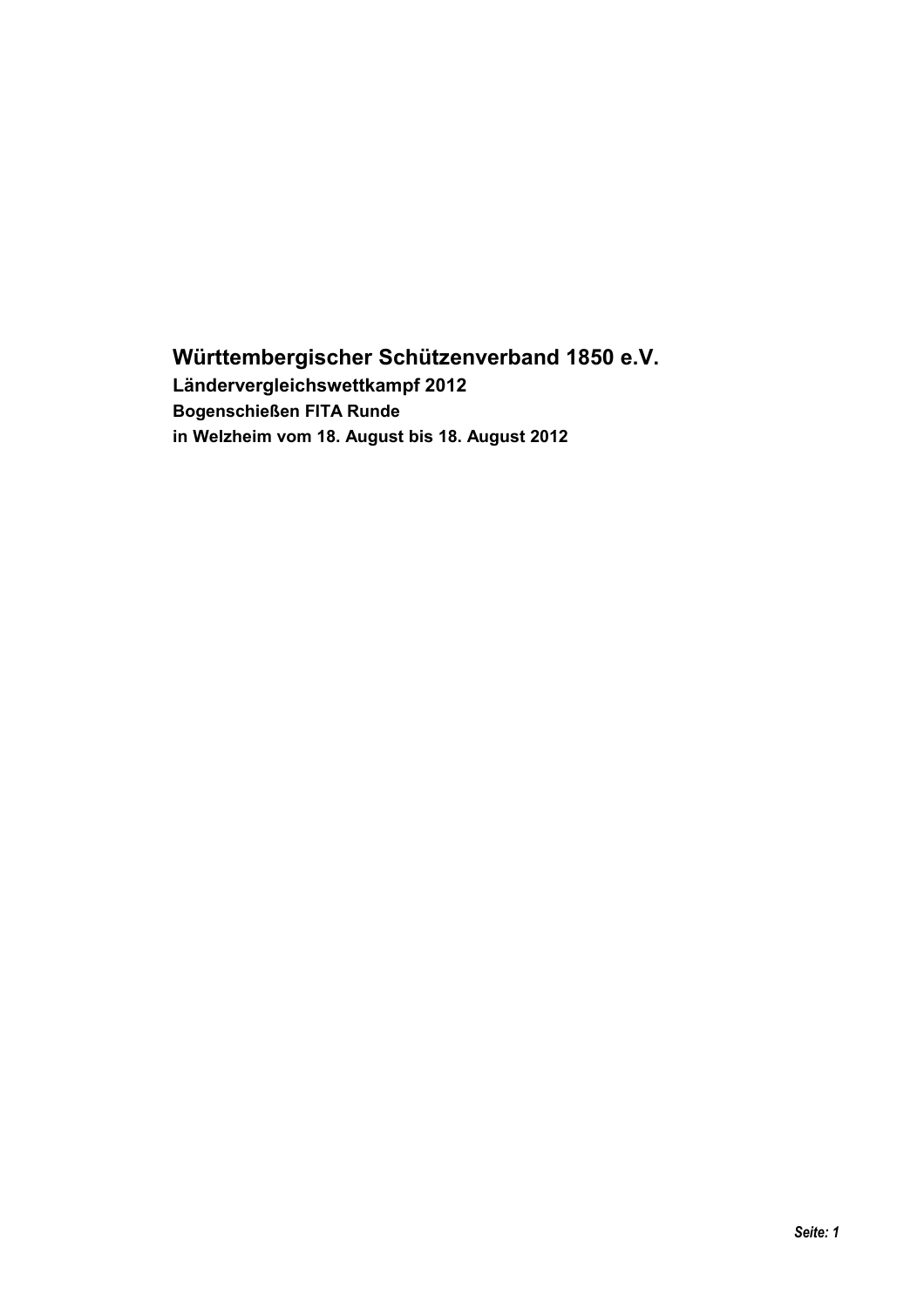## Württembergischer Schützenverband 1850 e.V. Ländervergleichswettkampf 2012 **Bogenschießen FITA Runde** in Welzheim vom 18. August bis 18. August 2012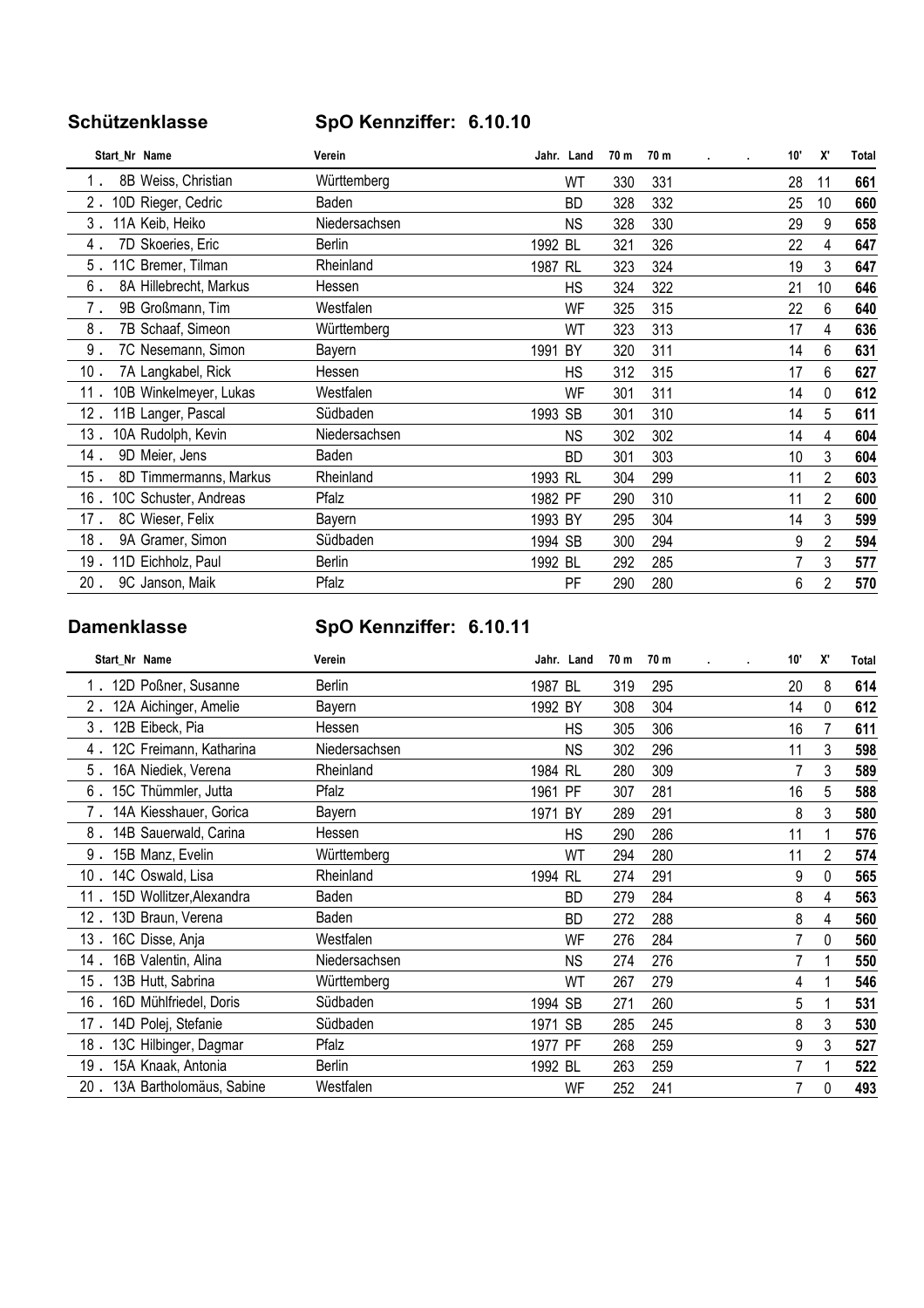### Schützenklasse

## SpO Kennziffer: 6.10.10

| Start Nr Name                    | Verein        | Jahr. Land | 70 m | 70 m | 10" | X'             | Total |
|----------------------------------|---------------|------------|------|------|-----|----------------|-------|
| 8B Weiss, Christian              | Württemberg   | WT         | 330  | 331  | 28  | 11             | 661   |
| 2.<br>10D Rieger, Cedric         | Baden         | BD         | 328  | 332  | 25  | 10             | 660   |
| 3.<br>11A Keib, Heiko            | Niedersachsen | <b>NS</b>  | 328  | 330  | 29  | 9              | 658   |
| 7D Skoeries, Eric<br>4.          | Berlin        | 1992 BL    | 321  | 326  | 22  | 4              | 647   |
| 5.<br>11C Bremer, Tilman         | Rheinland     | 1987 RL    | 323  | 324  | 19  | 3              | 647   |
| 6.<br>8A Hillebrecht, Markus     | Hessen        | HS         | 324  | 322  | 21  | 10             | 646   |
| 7.<br>9B Großmann, Tim           | Westfalen     | WF         | 325  | 315  | 22  | 6              | 640   |
| 8.<br>7B Schaaf, Simeon          | Württemberg   | WT         | 323  | 313  | 17  | 4              | 636   |
| $9$ .<br>7C Nesemann, Simon      | Bayern        | 1991<br>BY | 320  | 311  | 14  | 6              | 631   |
| 10.<br>7A Langkabel, Rick        | Hessen        | <b>HS</b>  | 312  | 315  | 17  | 6              | 627   |
| 10B Winkelmeyer, Lukas<br>11 .   | Westfalen     | WF         | 301  | 311  | 14  | $\mathbf 0$    | 612   |
| 12.<br>11B Langer, Pascal        | Südbaden      | 1993 SB    | 301  | 310  | 14  | 5              | 611   |
| 13.<br>10A Rudolph, Kevin        | Niedersachsen | <b>NS</b>  | 302  | 302  | 14  | 4              | 604   |
| 14.<br>9D Meier, Jens            | Baden         | BD         | 301  | 303  | 10  | 3              | 604   |
| $15$ .<br>8D Timmermanns, Markus | Rheinland     | 1993 RL    | 304  | 299  | 11  | 2              | 603   |
| $16$ .<br>10C Schuster, Andreas  | Pfalz         | 1982 PF    | 290  | 310  | 11  | $\overline{2}$ | 600   |
| 17.<br>8C Wieser, Felix          | Bayern        | 1993 BY    | 295  | 304  | 14  | 3              | 599   |
| 18.<br>9A Gramer, Simon          | Südbaden      | 1994 SB    | 300  | 294  | 9   | $\overline{2}$ | 594   |
| 11D Eichholz, Paul<br>19.        | Berlin        | 1992 BL    | 292  | 285  |     | 3              | 577   |
| $20$ .<br>9C Janson, Maik        | Pfalz         | PF         | 290  | 280  | 6   | $\overline{2}$ | 570   |

#### **Damenklasse**

## SpO Kennziffer: 6.10.11

| Start_Nr Name                    | Verein        | Jahr. Land | 70 m | 70 m | 10" | X'           | Total |
|----------------------------------|---------------|------------|------|------|-----|--------------|-------|
| 1. 12D Poßner, Susanne           | <b>Berlin</b> | 1987 BL    | 319  | 295  | 20  | 8            | 614   |
| 2.<br>12A Aichinger, Amelie      | Bayern        | 1992 BY    | 308  | 304  | 14  | $\mathbf{0}$ | 612   |
| 3.<br>12B Eibeck, Pia            | Hessen        | HS         | 305  | 306  | 16  | 7            | 611   |
| 12C Freimann, Katharina<br>4.    | Niedersachsen | <b>NS</b>  | 302  | 296  | 11  | 3            | 598   |
| 5.<br>16A Niediek, Verena        | Rheinland     | 1984 RL    | 280  | 309  |     | 3            | 589   |
| 15C Thümmler, Jutta<br>6.        | Pfalz         | PF<br>1961 | 307  | 281  | 16  | 5            | 588   |
| 14A Kiesshauer, Gorica           | Bayern        | BY<br>1971 | 289  | 291  | 8   | 3            | 580   |
| 8.<br>14B Sauerwald, Carina      | Hessen        | HS         | 290  | 286  | 11  | 1            | 576   |
| 9.<br>15B Manz, Evelin           | Württemberg   | WT         | 294  | 280  | 11  | 2            | 574   |
| 14C Oswald, Lisa<br>10.          | Rheinland     | 1994 RL    | 274  | 291  | 9   | $\mathbf{0}$ | 565   |
| 15D Wollitzer, Alexandra<br>11.  | Baden         | <b>BD</b>  | 279  | 284  | 8   | 4            | 563   |
| 13D Braun, Verena<br>12 .        | Baden         | <b>BD</b>  | 272  | 288  | 8   | 4            | 560   |
| 16C Disse, Anja<br>13.           | Westfalen     | WF         | 276  | 284  |     | $\bf{0}$     | 560   |
| 16B Valentin, Alina<br>14 .      | Niedersachsen | <b>NS</b>  | 274  | 276  |     |              | 550   |
| 13B Hutt, Sabrina<br>15.         | Württemberg   | WT         | 267  | 279  | 4   | 1            | 546   |
| 16D Mühlfriedel, Doris<br>$16$ . | Südbaden      | 1994 SB    | 271  | 260  | 5   |              | 531   |
| 14D Polej, Stefanie<br>17.       | Südbaden      | 1971 SB    | 285  | 245  | 8   | 3            | 530   |
| 13C Hilbinger, Dagmar<br>18.     | Pfalz         | 1977 PF    | 268  | 259  | 9   | 3            | 527   |
| 19.<br>15A Knaak, Antonia        | Berlin        | 1992 BL    | 263  | 259  |     |              | 522   |
| 20.<br>13A Bartholomäus, Sabine  | Westfalen     | WF         | 252  | 241  | 7   | 0            | 493   |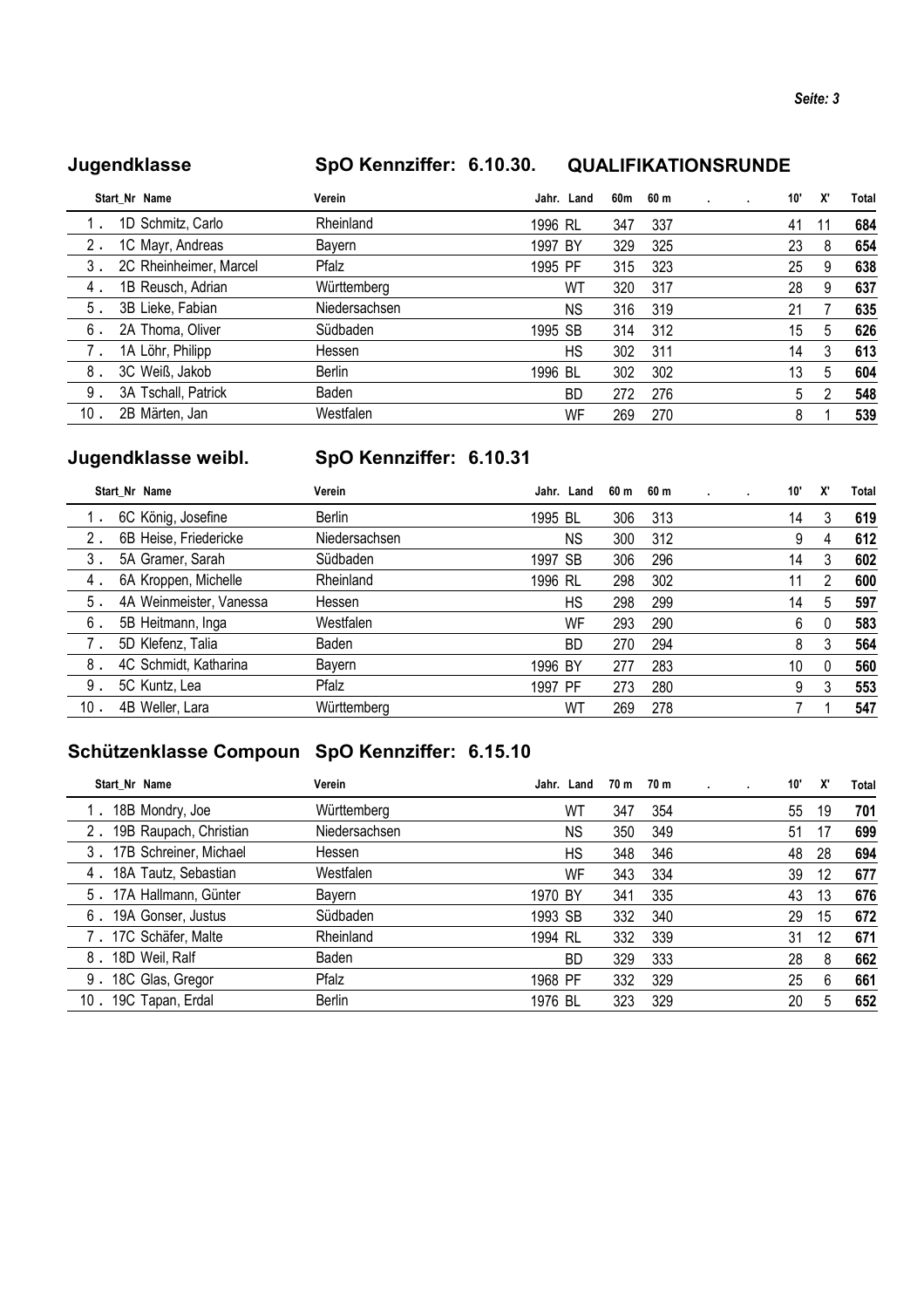#### Jugendklasse

#### SpO Kennziffer: 6.10.30. QUALIFIKATIONSRUNDE

|    | Start Nr Name          | Verein        |         | Jahr. Land | 60m | 60 m |  | 10' | X' | Total |
|----|------------------------|---------------|---------|------------|-----|------|--|-----|----|-------|
|    | 1D Schmitz, Carlo      | Rheinland     | 1996 RL |            | 347 | 337  |  | 41  |    | 684   |
| 2. | 1C Mayr, Andreas       | Bayern        | 1997 BY |            | 329 | 325  |  | 23  | 8  | 654   |
| 3. | 2C Rheinheimer, Marcel | Pfalz         | 1995 PF |            | 315 | 323  |  | 25  | 9  | 638   |
| 4. | 1B Reusch, Adrian      | Württemberg   |         | WT         | 320 | 317  |  | 28  | 9  | 637   |
| 5. | 3B Lieke, Fabian       | Niedersachsen |         | <b>NS</b>  | 316 | 319  |  | 21  |    | 635   |
| 6. | 2A Thoma, Oliver       | Südbaden      | 1995 SB |            | 314 | 312  |  | 15  | 5  | 626   |
|    | 1A Löhr, Philipp       | Hessen        |         | HS         | 302 | 311  |  | 14  | 3  | 613   |
| 8. | 3C Weiß, Jakob         | Berlin        | 1996 BL |            | 302 | 302  |  | 13  | 5  | 604   |
| 9. | 3A Tschall, Patrick    | Baden         |         | <b>BD</b>  | 272 | 276  |  | 5   | 2  | 548   |
| 10 | 2B Märten, Jan         | Westfalen     |         | WF         | 269 | 270  |  | 8   |    | 539   |

## Jugendklasse weibl.

## SpO Kennziffer: 6.10.31

|     | Start Nr Name           | Verein        |         | Jahr. Land | 60 m | 60 m |  | 10' | X'       | Total |
|-----|-------------------------|---------------|---------|------------|------|------|--|-----|----------|-------|
|     | 6C König, Josefine      | Berlin        | 1995 BL |            | 306  | 313  |  | 14  | 3        | 619   |
| 2.  | 6B Heise, Friedericke   | Niedersachsen |         | <b>NS</b>  | 300  | 312  |  | 9   | 4        | 612   |
| 3.  | 5A Gramer, Sarah        | Südbaden      | 1997 SB |            | 306  | 296  |  | 14  | 3        | 602   |
| 4.  | 6A Kroppen, Michelle    | Rheinland     | 1996 RL |            | 298  | 302  |  | 11  | 2        | 600   |
| 5.  | 4A Weinmeister, Vanessa | Hessen        |         | НS         | 298  | 299  |  | 14  | 5        | 597   |
| 6.  | 5B Heitmann, Inga       | Westfalen     |         | WF         | 293  | 290  |  | 6   | 0        | 583   |
| 7.  | 5D Klefenz, Talia       | Baden         |         | <b>BD</b>  | 270  | 294  |  | 8   | 3        | 564   |
| 8.  | 4C Schmidt, Katharina   | Bayern        | 1996 BY |            | 277  | 283  |  | 10  | $\Omega$ | 560   |
| 9.  | 5C Kuntz, Lea           | Pfalz         | 1997 PF |            | 273  | 280  |  | 9   | 3        | 553   |
| 10. | 4B Weller, Lara         | Württemberg   |         | W٦         | 269  | 278  |  |     |          | 547   |
|     |                         |               |         |            |      |      |  |     |          |       |

## Schützenklasse Compoun SpO Kennziffer: 6.15.10

| Start Nr Name            | Verein        | Jahr. Land | 70 m | 70 m | 10' | X' | Total |
|--------------------------|---------------|------------|------|------|-----|----|-------|
| 18B Mondry, Joe          | Württemberg   | WΤ         | 347  | 354  | 55  | 19 | 701   |
| 19B Raupach, Christian   | Niedersachsen | <b>NS</b>  | 350  | 349  | 51  | 17 | 699   |
| 17B Schreiner, Michael   | Hessen        | НS         | 348  | 346  | 48  | 28 | 694   |
| 4. 18A Tautz, Sebastian  | Westfalen     | WF         | 343  | 334  | 39  | 12 | 677   |
| 5. 17A Hallmann, Günter  | Bayern        | 1970 BY    | 341  | 335  | 43  | 13 | 676   |
| 19A Gonser, Justus<br>6. | Südbaden      | 1993 SB    | 332  | 340  | 29  | 15 | 672   |
| 7. 17C Schäfer, Malte    | Rheinland     | 1994 RL    | 332  | 339  | 31  | 12 | 671   |
| 18D Weil, Ralf<br>8.     | <b>Baden</b>  | <b>BD</b>  | 329  | 333  | 28  | 8  | 662   |
| 9. 18C Glas, Gregor      | Pfalz         | 1968 PF    | 332  | 329  | 25  | 6  | 661   |
| 10. 19C Tapan, Erdal     | Berlin        | 1976 BL    | 323  | 329  | 20  | 5  | 652   |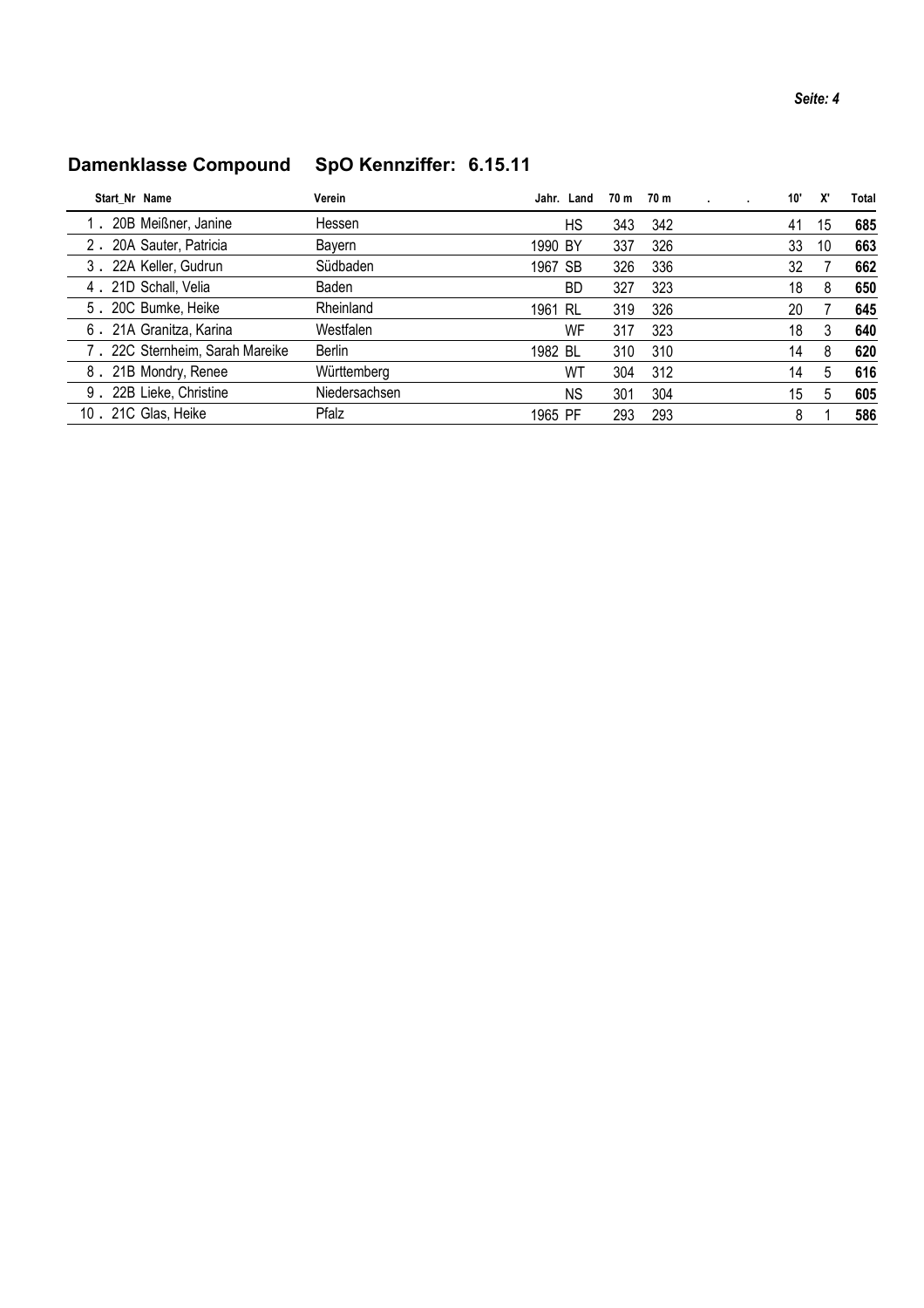## Damenklasse Compound SpO Kennziffer: 6.15.11

| Start Nr Name                   | Verein        |         | Jahr. Land | 70 m | 70 m |  | 10' | X' | Total |
|---------------------------------|---------------|---------|------------|------|------|--|-----|----|-------|
| 20B Meißner, Janine             | Hessen        |         | HS         | 343  | 342  |  | 41  | 15 | 685   |
| 2. 20A Sauter, Patricia         | Bayern        | 1990 BY |            | 337  | 326  |  | 33  | 10 | 663   |
| 3. 22A Keller, Gudrun           | Südbaden      | 1967 SB |            | 326  | 336  |  | 32  |    | 662   |
| 4 . 21D Schall, Velia           | Baden         |         | BD         | 327  | 323  |  | 18  | 8  | 650   |
| 5. 20C Bumke, Heike             | Rheinland     | 1961 RL |            | 319  | 326  |  | 20  |    | 645   |
| 6. 21A Granitza, Karina         | Westfalen     |         | WF         | 317  | 323  |  | 18  | 3  | 640   |
| 7. 22C Sternheim, Sarah Mareike | <b>Berlin</b> | 1982 BL |            | 310  | 310  |  | 14  | 8  | 620   |
| 8. 21B Mondry, Renee            | Württemberg   |         | WΤ         | 304  | 312  |  | 14  | 5  | 616   |
| 9. 22B Lieke, Christine         | Niedersachsen |         | <b>NS</b>  | 301  | 304  |  | 15  | 5  | 605   |
| 10. 21C Glas, Heike             | Pfalz         | 1965 PF |            | 293  | 293  |  | 8   |    | 586   |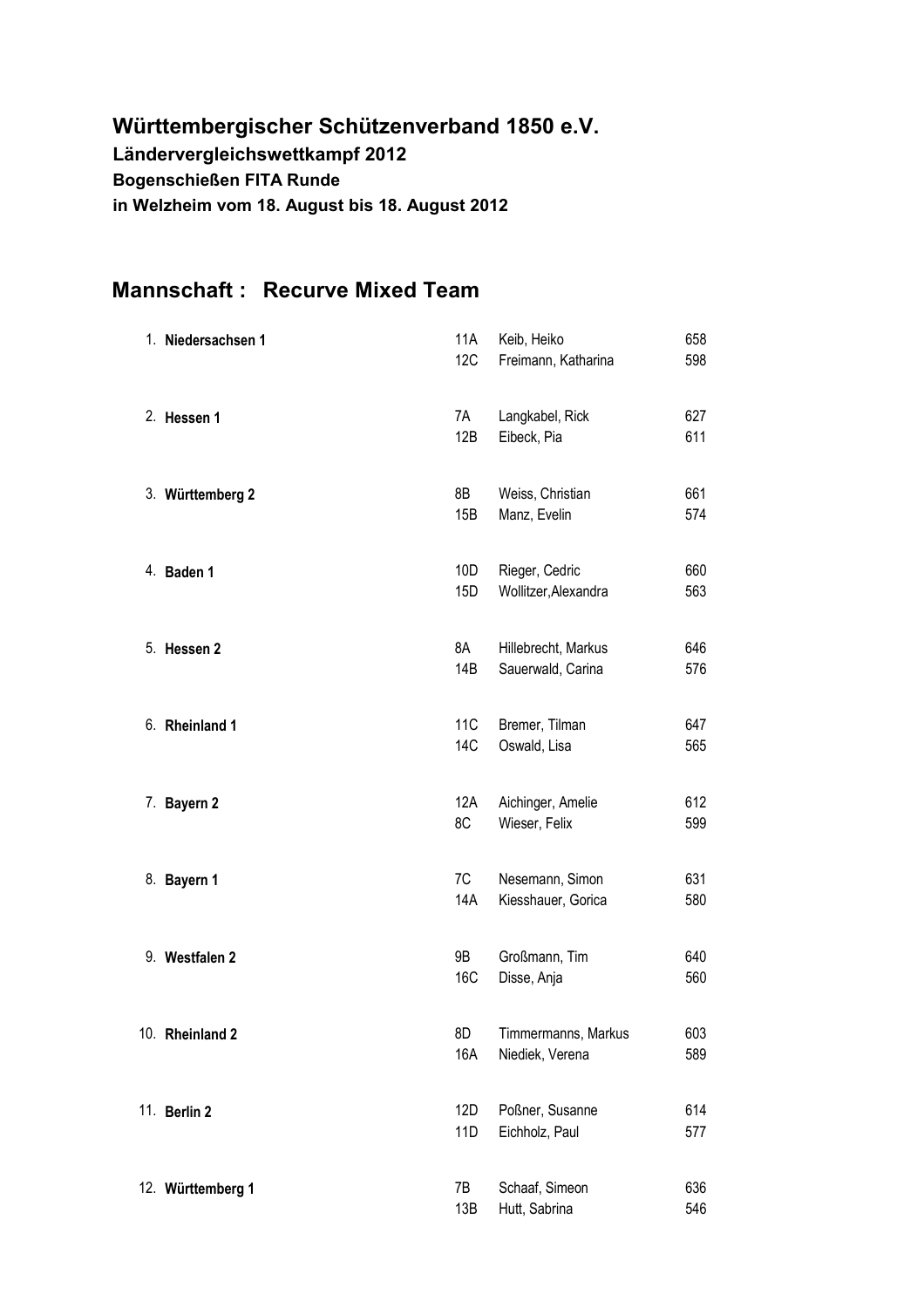## Württembergischer Schützenverband 1850 e.V. Ländervergleichswettkampf 2012 **Bogenschießen FITA Runde** in Welzheim vom 18. August bis 18. August 2012

## **Mannschaft: Recurve Mixed Team**

| 1. Niedersachsen 1 | 11A<br>12C             | Keib, Heiko<br>Freimann, Katharina       | 658<br>598 |
|--------------------|------------------------|------------------------------------------|------------|
| 2. Hessen 1        | 7A<br>12B              | Langkabel, Rick<br>Eibeck, Pia           | 627<br>611 |
| 3. Württemberg 2   | 8B<br>15B              | Weiss, Christian<br>Manz, Evelin         | 661<br>574 |
| 4. Baden 1         | 10D<br>15D             | Rieger, Cedric<br>Wollitzer, Alexandra   | 660<br>563 |
| 5. Hessen 2        | 8A<br>14B              | Hillebrecht, Markus<br>Sauerwald, Carina | 646<br>576 |
| 6. Rheinland 1     | 11 <sub>C</sub><br>14C | Bremer, Tilman<br>Oswald, Lisa           | 647<br>565 |
| 7. Bayern 2        | 12A<br>8C              | Aichinger, Amelie<br>Wieser, Felix       | 612<br>599 |
| 8. Bayern 1        | 7C<br>14A              | Nesemann, Simon<br>Kiesshauer, Gorica    | 631<br>580 |
| 9. Westfalen 2     | 9B<br>16C              | Großmann, Tim<br>Disse, Anja             | 640<br>560 |
| 10. Rheinland 2    | 8D<br>16A              | Timmermanns, Markus<br>Niediek, Verena   | 603<br>589 |
| 11. Berlin 2       | 12D<br>11D             | Poßner, Susanne<br>Eichholz, Paul        | 614<br>577 |
| 12. Württemberg 1  | 7B<br>13B              | Schaaf, Simeon<br>Hutt, Sabrina          | 636<br>546 |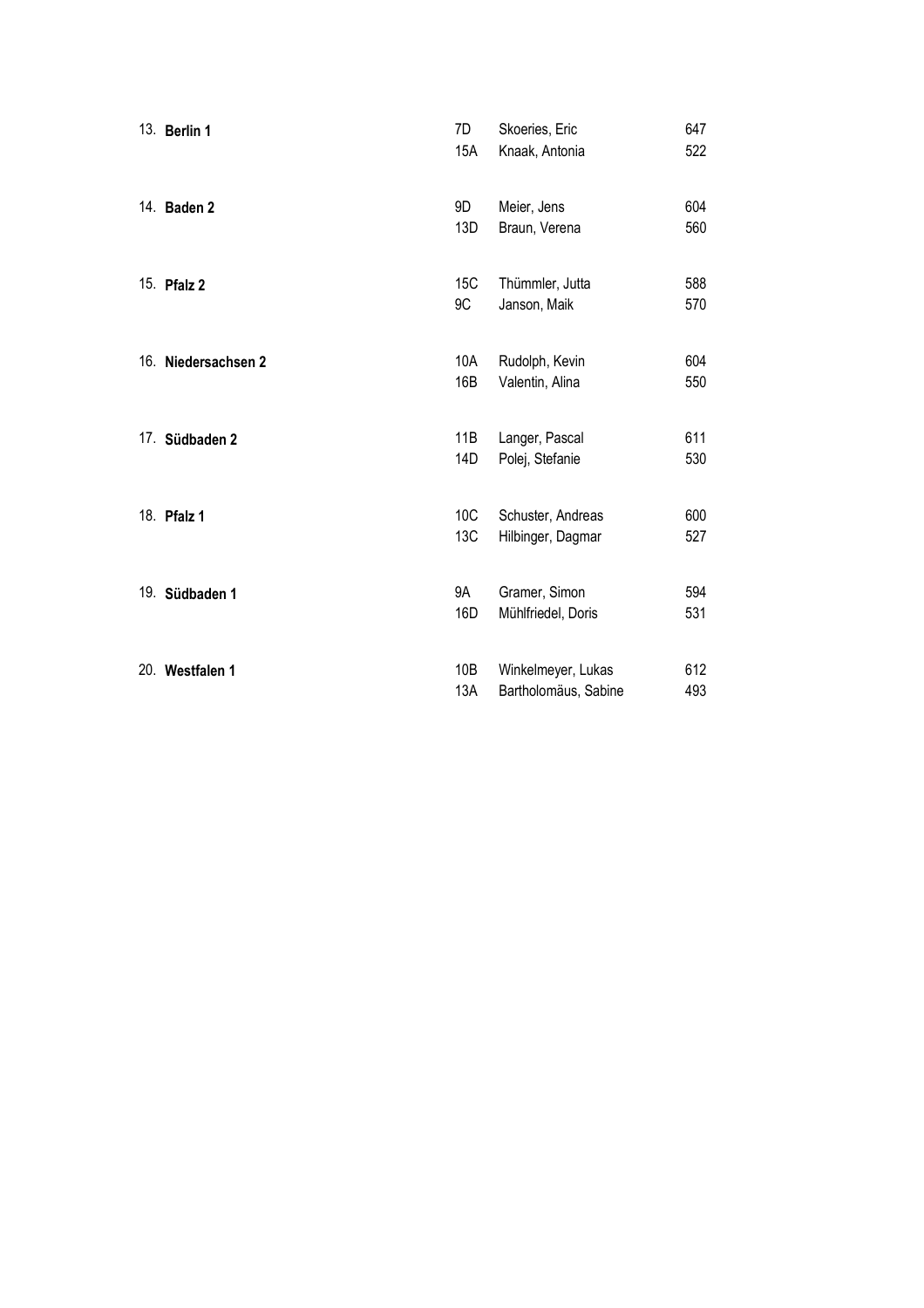| 13. Berlin 1        | 7D<br>15A  | Skoeries, Eric<br>Knaak, Antonia           | 647<br>522 |
|---------------------|------------|--------------------------------------------|------------|
| 14. Baden 2         | 9D<br>13D  | Meier, Jens<br>Braun, Verena               | 604<br>560 |
| 15. Pfalz 2         | 15C<br>9C  | Thümmler, Jutta<br>Janson, Maik            | 588<br>570 |
| 16. Niedersachsen 2 | 10A<br>16B | Rudolph, Kevin<br>Valentin, Alina          | 604<br>550 |
| 17. Südbaden 2      | 11B<br>14D | Langer, Pascal<br>Polej, Stefanie          | 611<br>530 |
| 18. Pfalz 1         | 10C<br>13C | Schuster, Andreas<br>Hilbinger, Dagmar     | 600<br>527 |
| 19. Südbaden 1      | 9A<br>16D  | Gramer, Simon<br>Mühlfriedel, Doris        | 594<br>531 |
| 20. Westfalen 1     | 10B<br>13A | Winkelmeyer, Lukas<br>Bartholomäus, Sabine | 612<br>493 |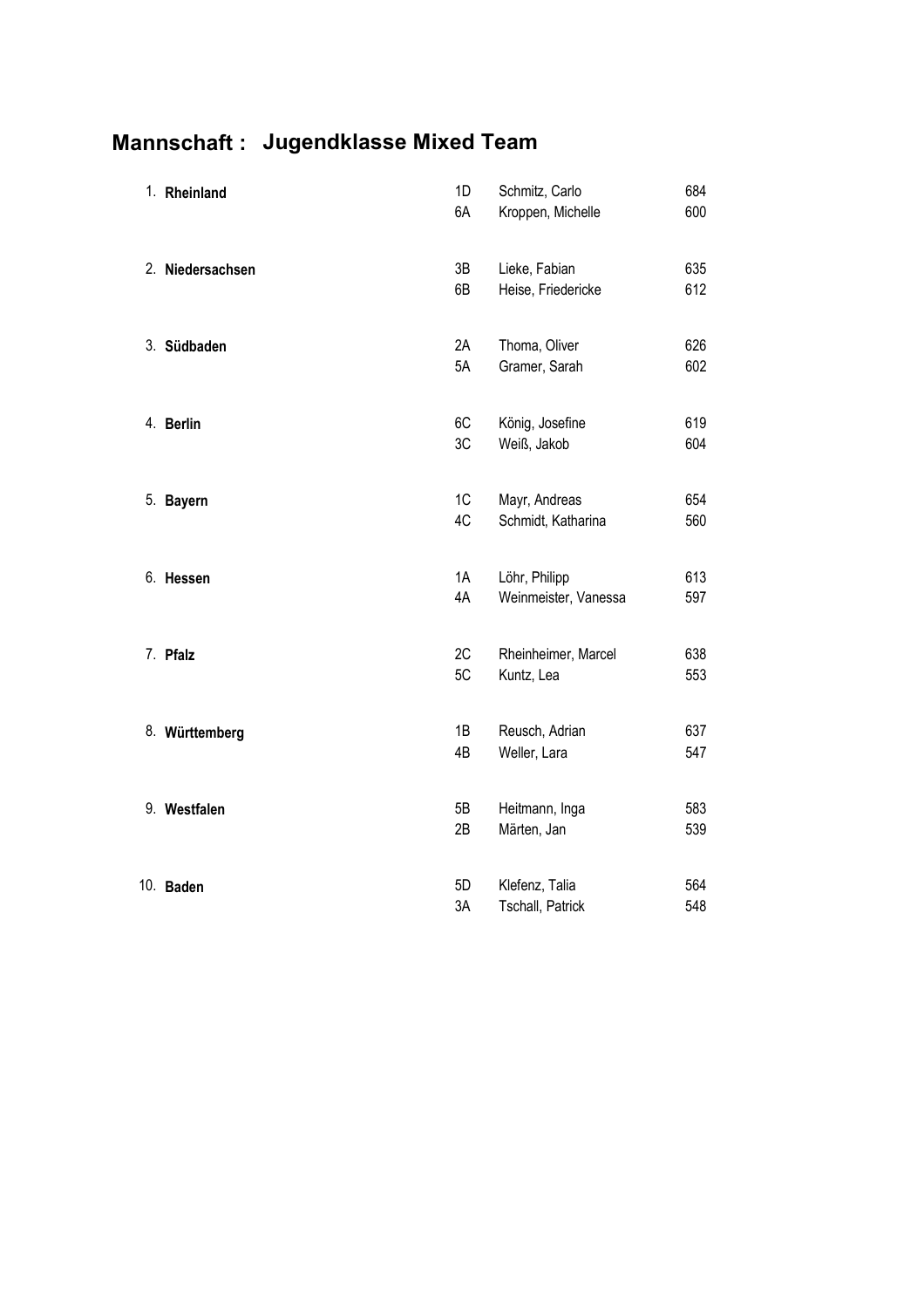## Mannschaft: Jugendklasse Mixed Team

| 1. Rheinland     | 1D<br>6A | Schmitz, Carlo<br>Kroppen, Michelle   | 684<br>600 |
|------------------|----------|---------------------------------------|------------|
| 2. Niedersachsen | 3B<br>6B | Lieke, Fabian<br>Heise, Friedericke   | 635<br>612 |
| 3. Südbaden      | 2A<br>5A | Thoma, Oliver<br>Gramer, Sarah        | 626<br>602 |
| 4. Berlin        | 6C<br>3C | König, Josefine<br>Weiß, Jakob        | 619<br>604 |
| 5. Bayern        | 1C<br>4C | Mayr, Andreas<br>Schmidt, Katharina   | 654<br>560 |
| 6. Hessen        | 1A<br>4A | Löhr, Philipp<br>Weinmeister, Vanessa | 613<br>597 |
| 7. Pfalz         | 2C<br>5C | Rheinheimer, Marcel<br>Kuntz, Lea     | 638<br>553 |
| 8. Württemberg   | 1B<br>4B | Reusch, Adrian<br>Weller, Lara        | 637<br>547 |
| 9. Westfalen     | 5B<br>2B | Heitmann, Inga<br>Märten, Jan         | 583<br>539 |
| 10. Baden        | 5D<br>3A | Klefenz, Talia<br>Tschall, Patrick    | 564<br>548 |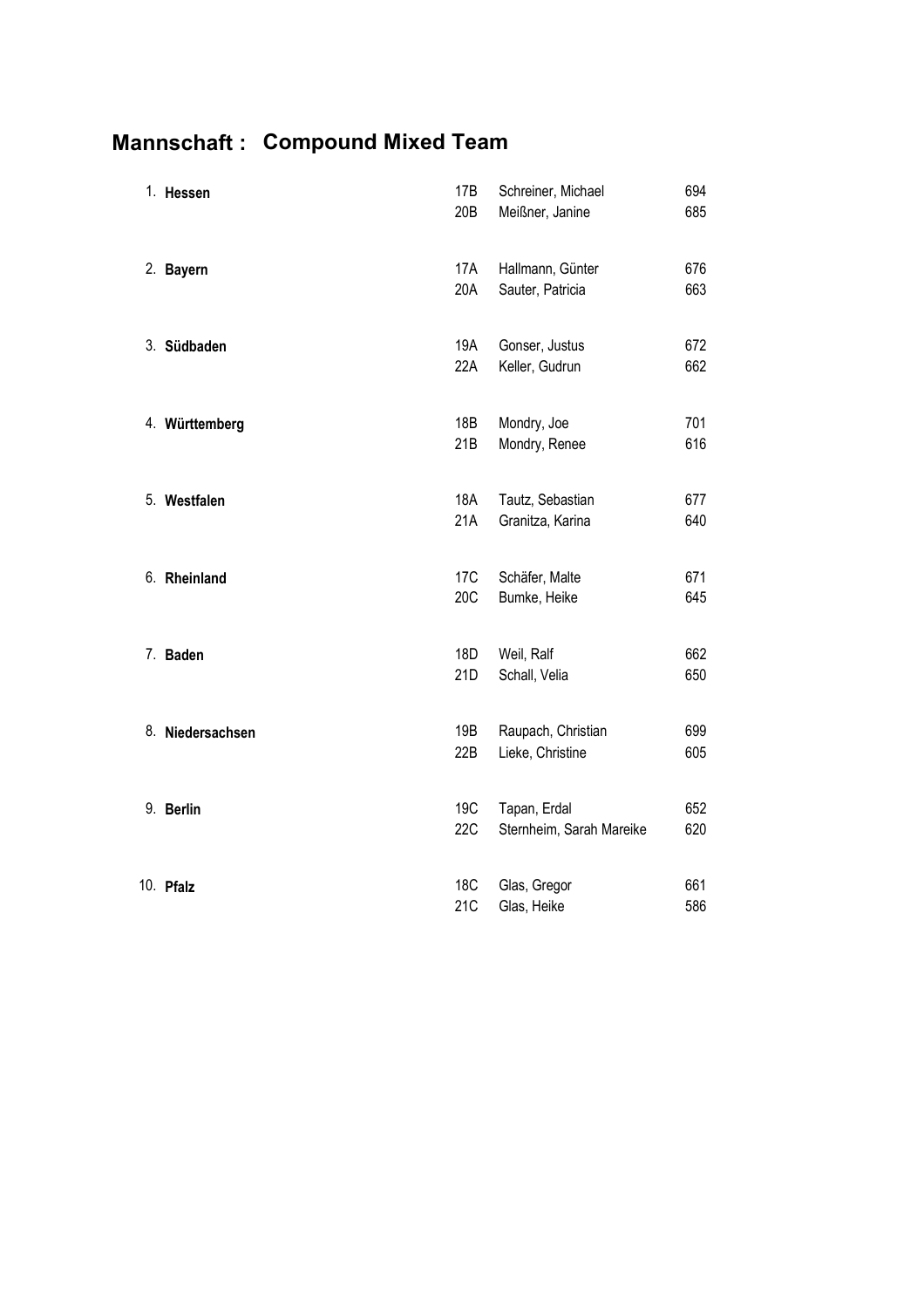## **Mannschaft: Compound Mixed Team**

| 1. Hessen        | 17B<br>20B             | Schreiner, Michael<br>Meißner, Janine    | 694<br>685 |
|------------------|------------------------|------------------------------------------|------------|
| 2. Bayern        | 17A<br>20A             | Hallmann, Günter<br>Sauter, Patricia     | 676<br>663 |
| 3. Südbaden      | 19A<br>22A             | Gonser, Justus<br>Keller, Gudrun         | 672<br>662 |
| 4. Württemberg   | 18B<br>21B             | Mondry, Joe<br>Mondry, Renee             | 701<br>616 |
| 5. Westfalen     | <b>18A</b><br>21A      | Tautz, Sebastian<br>Granitza, Karina     | 677<br>640 |
| 6. Rheinland     | 17 <sub>C</sub><br>20C | Schäfer, Malte<br>Bumke, Heike           | 671<br>645 |
| 7. Baden         | 18D<br>21D             | Weil, Ralf<br>Schall, Velia              | 662<br>650 |
| 8. Niedersachsen | 19B<br>22B             | Raupach, Christian<br>Lieke, Christine   | 699<br>605 |
| 9. Berlin        | 19C<br><b>22C</b>      | Tapan, Erdal<br>Sternheim, Sarah Mareike | 652<br>620 |
| 10. Pfalz        | <b>18C</b><br>21C      | Glas, Gregor<br>Glas, Heike              | 661<br>586 |